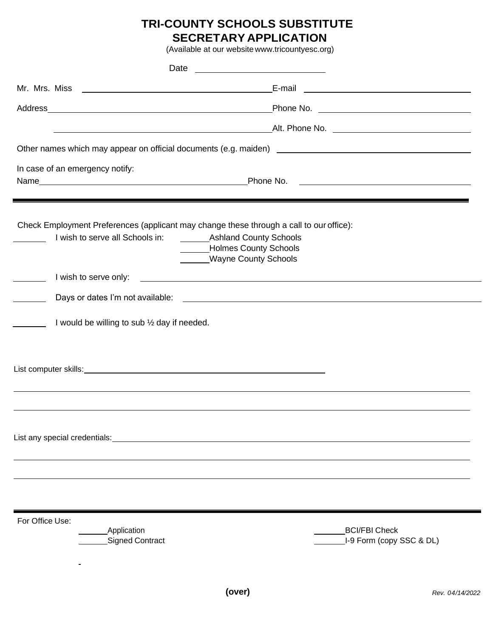# **TRI-COUNTY SCHOOLS SUBSTITUTE SECRETARY APPLICATION**

(Available at our website www.tricountyesc.org)

| Date                                         |                                                                                                                                                                           |
|----------------------------------------------|---------------------------------------------------------------------------------------------------------------------------------------------------------------------------|
|                                              | Mr. Mrs. Miss <b>E</b> -mail <b>E-mail</b>                                                                                                                                |
|                                              |                                                                                                                                                                           |
|                                              | Alt. Phone No. 2006. 2006. 2007. Alt. 2007. 2008. 2007. 2008. 2009. 2012. 2013. 2014. 2016. 2017. 2017. 2017.                                                             |
|                                              |                                                                                                                                                                           |
| In case of an emergency notify:              |                                                                                                                                                                           |
|                                              |                                                                                                                                                                           |
| I wish to serve all Schools in:              | Check Employment Preferences (applicant may change these through a call to our office):<br><b>Ashland County Schools</b><br>Holmes County Schools<br>Wayne County Schools |
| I wish to serve only:                        | <u> 1989 - Johann Barnett, fransk politiker (d. 1989)</u>                                                                                                                 |
|                                              |                                                                                                                                                                           |
| I would be willing to sub 1/2 day if needed. |                                                                                                                                                                           |
|                                              |                                                                                                                                                                           |
|                                              | List any special credentials: <b>Example 2018</b> 2019 12:30 AM 2019 20:41 20:42 AM 20:42 20:42 20:42 AM 20:42 20:42                                                      |
| For Office Use:<br><b>Application</b>        | <b>BCI/FBI Check</b><br><b>Signed Contract</b><br>I-9 Form (copy SSC & DL)                                                                                                |